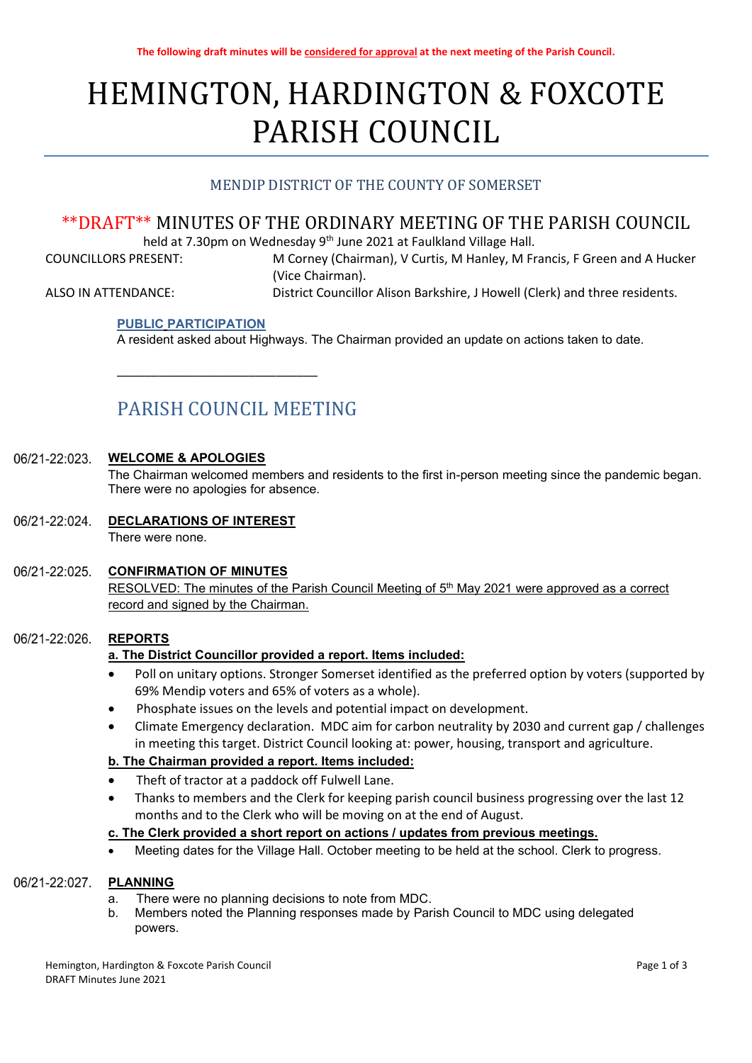# HEMINGTON, HARDINGTON & FOXCOTE PARISH COUNCIL

# MENDIP DISTRICT OF THE COUNTY OF SOMERSET

# \*\*DRAFT\*\* MINUTES OF THE ORDINARY MEETING OF THE PARISH COUNCIL

held at 7.30pm on Wednesday 9<sup>th</sup> June 2021 at Faulkland Village Hall.

COUNCILLORS PRESENT: M Corney (Chairman), V Curtis, M Hanley, M Francis, F Green and A Hucker (Vice Chairman).

ALSO IN ATTENDANCE: District Councillor Alison Barkshire, J Howell (Clerk) and three residents.

# PUBLIC PARTICIPATION

A resident asked about Highways. The Chairman provided an update on actions taken to date.

# PARISH COUNCIL MEETING

\_\_\_\_\_\_\_\_\_\_\_\_\_\_\_\_\_\_\_\_\_\_\_\_\_\_\_\_\_

#### 06/21-22:023 WELCOME & APOLOGIES

The Chairman welcomed members and residents to the first in-person meeting since the pandemic began. There were no apologies for absence.

- 06/21-22:024. DECLARATIONS OF INTEREST There were none.
- 06/21-22:025. CONFIRMATION OF MINUTES RESOLVED: The minutes of the Parish Council Meeting of 5<sup>th</sup> May 2021 were approved as a correct record and signed by the Chairman.

#### REPORTS 06/21-22:026.

# a. The District Councillor provided a report. Items included:

- Poll on unitary options. Stronger Somerset identified as the preferred option by voters (supported by 69% Mendip voters and 65% of voters as a whole).
- Phosphate issues on the levels and potential impact on development.
- Climate Emergency declaration. MDC aim for carbon neutrality by 2030 and current gap / challenges in meeting this target. District Council looking at: power, housing, transport and agriculture.

# b. The Chairman provided a report. Items included:

- Theft of tractor at a paddock off Fulwell Lane.
- Thanks to members and the Clerk for keeping parish council business progressing over the last 12 months and to the Clerk who will be moving on at the end of August.

# c. The Clerk provided a short report on actions / updates from previous meetings.

Meeting dates for the Village Hall. October meeting to be held at the school. Clerk to progress.

#### 06/21-22:027. PLANNING

- a. There were no planning decisions to note from MDC.
- b. Members noted the Planning responses made by Parish Council to MDC using delegated powers.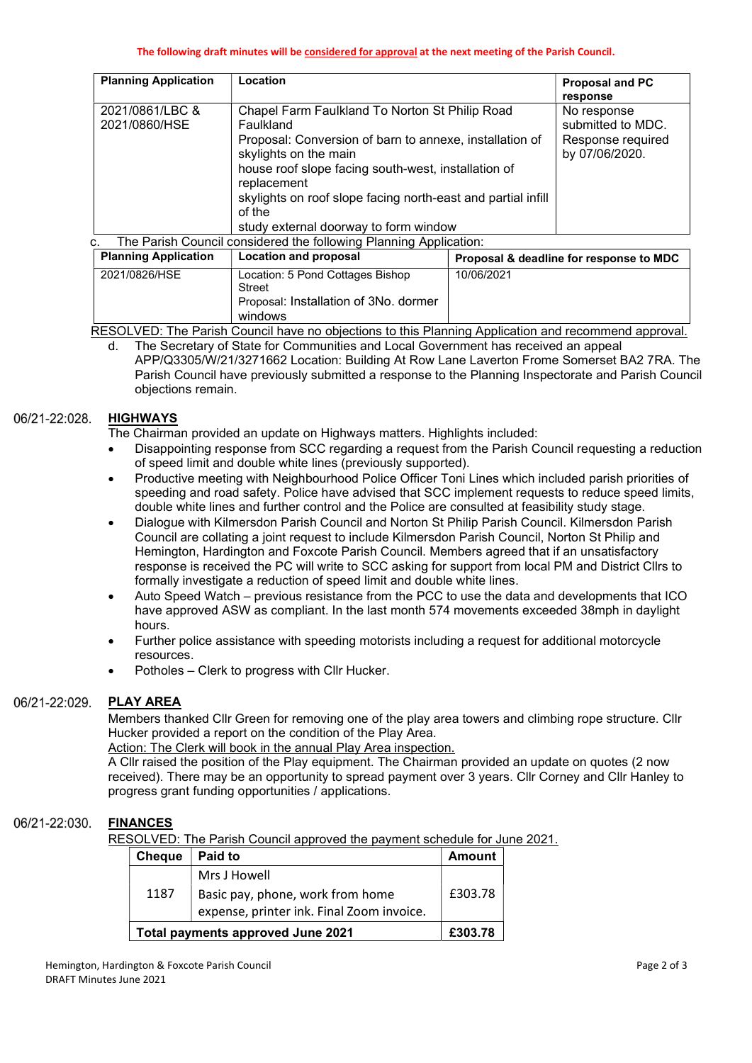| <b>Planning Application</b>      | Location                                                                                                                                                                                                                                                                                                                                 |            | <b>Proposal and PC</b><br>response                                      |
|----------------------------------|------------------------------------------------------------------------------------------------------------------------------------------------------------------------------------------------------------------------------------------------------------------------------------------------------------------------------------------|------------|-------------------------------------------------------------------------|
| 2021/0861/LBC &<br>2021/0860/HSE | Chapel Farm Faulkland To Norton St Philip Road<br>Faulkland<br>Proposal: Conversion of barn to annexe, installation of<br>skylights on the main<br>house roof slope facing south-west, installation of<br>replacement<br>skylights on roof slope facing north-east and partial infill<br>of the<br>study external doorway to form window |            | No response<br>submitted to MDC.<br>Response required<br>by 07/06/2020. |
| C.                               | The Parish Council considered the following Planning Application:                                                                                                                                                                                                                                                                        |            |                                                                         |
| <b>Planning Application</b>      | <b>Location and proposal</b>                                                                                                                                                                                                                                                                                                             |            | Proposal & deadline for response to MDC                                 |
| $2021/0826/H$ SE                 | ocation: 5 Dond Cottages Richan                                                                                                                                                                                                                                                                                                          | 10/06/2021 |                                                                         |

| 2021/0826/HSE | Location: 5 Pond Cottages Bishop      | 10/06/2021 |
|---------------|---------------------------------------|------------|
|               | <b>Street</b>                         |            |
|               | Proposal: Installation of 3No. dormer |            |
|               | windows                               |            |
| .<br>. .      | .<br>. .<br>.                         | .          |

RESOLVED: The Parish Council have no objections to this Planning Application and recommend approval.

d. The Secretary of State for Communities and Local Government has received an appeal APP/Q3305/W/21/3271662 Location: Building At Row Lane Laverton Frome Somerset BA2 7RA. The Parish Council have previously submitted a response to the Planning Inspectorate and Parish Council objections remain.

#### 06/21-22:028. **HIGHWAYS**

The Chairman provided an update on Highways matters. Highlights included:

- Disappointing response from SCC regarding a request from the Parish Council requesting a reduction of speed limit and double white lines (previously supported).
- Productive meeting with Neighbourhood Police Officer Toni Lines which included parish priorities of speeding and road safety. Police have advised that SCC implement requests to reduce speed limits, double white lines and further control and the Police are consulted at feasibility study stage.
- Dialogue with Kilmersdon Parish Council and Norton St Philip Parish Council. Kilmersdon Parish Council are collating a joint request to include Kilmersdon Parish Council, Norton St Philip and Hemington, Hardington and Foxcote Parish Council. Members agreed that if an unsatisfactory response is received the PC will write to SCC asking for support from local PM and District Cllrs to formally investigate a reduction of speed limit and double white lines.
- Auto Speed Watch previous resistance from the PCC to use the data and developments that ICO have approved ASW as compliant. In the last month 574 movements exceeded 38mph in daylight hours.
- Further police assistance with speeding motorists including a request for additional motorcycle resources.
- Potholes Clerk to progress with Cllr Hucker.

#### 06/21-22:029. PLAY AREA

Members thanked Cllr Green for removing one of the play area towers and climbing rope structure. Cllr Hucker provided a report on the condition of the Play Area.

Action: The Clerk will book in the annual Play Area inspection.

A Cllr raised the position of the Play equipment. The Chairman provided an update on quotes (2 now received). There may be an opportunity to spread payment over 3 years. Cllr Corney and Cllr Hanley to progress grant funding opportunities / applications.

#### 06/21-22:030. FINANCES

RESOLVED: The Parish Council approved the payment schedule for June 2021.

| <b>Cheque</b>                     | Paid to                                                                       | Amount  |
|-----------------------------------|-------------------------------------------------------------------------------|---------|
|                                   | Mrs J Howell                                                                  |         |
| 1187                              | Basic pay, phone, work from home<br>expense, printer ink. Final Zoom invoice. | £303.78 |
| Total payments approved June 2021 | £303.78                                                                       |         |